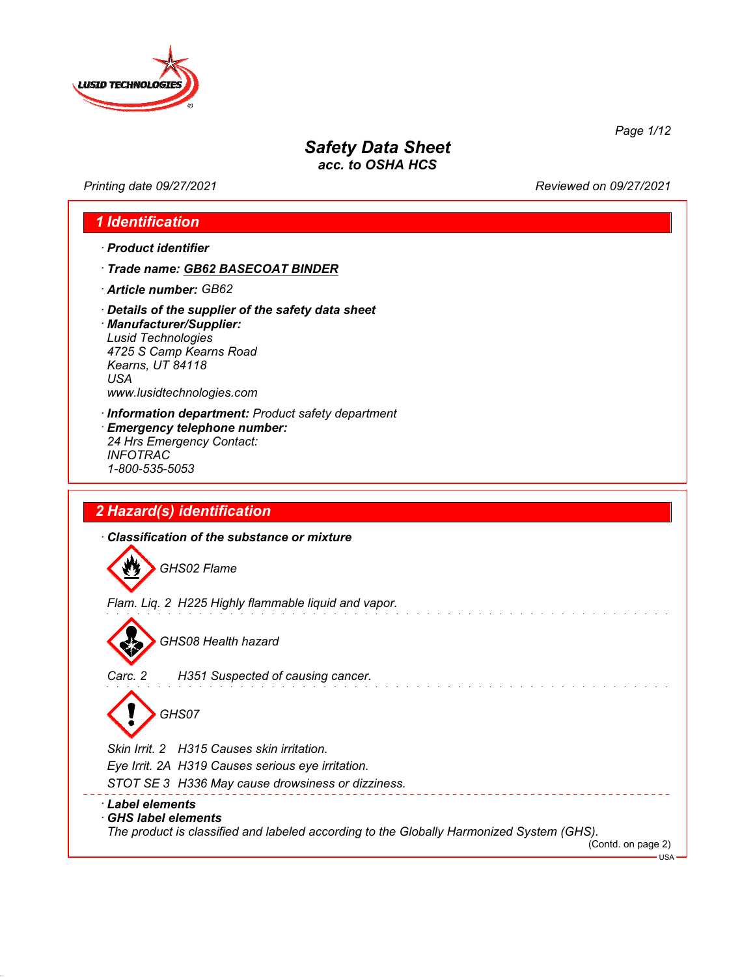

*Printing date 09/27/2021 Reviewed on 09/27/2021*

*Page 1/12*

## *1 Identification*

- *· Product identifier*
- *· Trade name: GB62 BASECOAT BINDER*
- *· Article number: GB62*
- *· Details of the supplier of the safety data sheet*

*· Manufacturer/Supplier: Lusid Technologies 4725 S Camp Kearns Road Kearns, UT 84118 USA www.lusidtechnologies.com*

- *· Information department: Product safety department · Emergency telephone number: 24 Hrs Emergency Contact: INFOTRAC*
- *2 Hazard(s) identification*

*1-800-535-5053*

*· Classification of the substance or mixture*

 $\boldsymbol{w}$ *GHS02 Flame*

*Flam. Liq. 2 H225 Highly flammable liquid and vapor.*



*GHS08 Health hazard*

*Carc. 2 H351 Suspected of causing cancer.*

*GHS07*

*Skin Irrit. 2 H315 Causes skin irritation.*

*Eye Irrit. 2A H319 Causes serious eye irritation.*

*STOT SE 3 H336 May cause drowsiness or dizziness.*

#### *· Label elements*

*· GHS label elements*

*The product is classified and labeled according to the Globally Harmonized System (GHS).*

(Contd. on page 2)

USA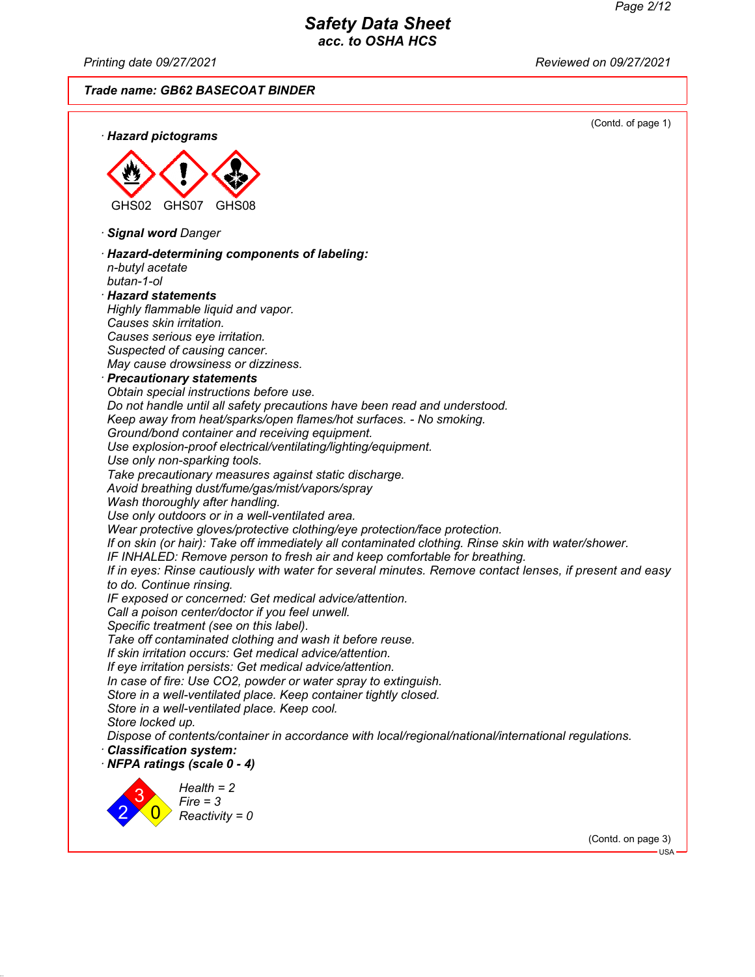*Printing date 09/27/2021 Reviewed on 09/27/2021*

*Trade name: GB62 BASECOAT BINDER*



(Contd. on page 3) USA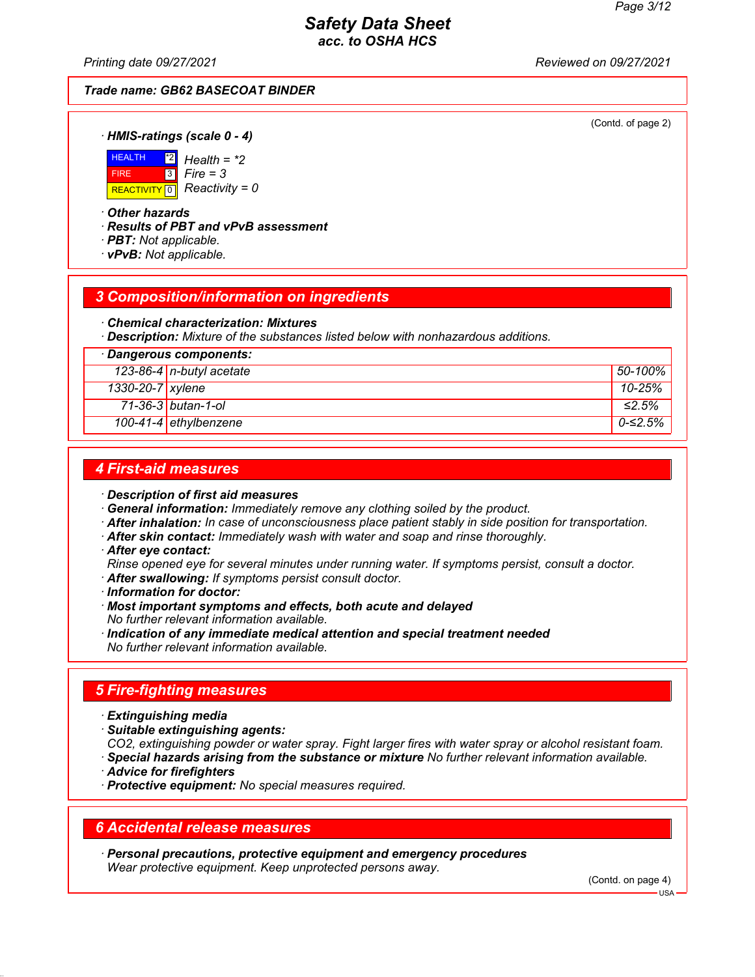*Printing date 09/27/2021 Reviewed on 09/27/2021*

#### *Trade name: GB62 BASECOAT BINDER*

(Contd. of page 2)

*· HMIS-ratings (scale 0 - 4)*



\*2 *Health = \*2 Fire = 3*

#### *· Other hazards*

*· Results of PBT and vPvB assessment*

- *· PBT: Not applicable.*
- *· vPvB: Not applicable.*

#### *3 Composition/information on ingredients*

*· Chemical characterization: Mixtures*

*· Description: Mixture of the substances listed below with nonhazardous additions.*

| · Dangerous components: |                          |             |
|-------------------------|--------------------------|-------------|
|                         | 123-86-4 n-butyl acetate | 50-100%     |
| 1330-20-7 xylene        |                          | $10 - 25%$  |
|                         | 71-36-3 butan-1-ol       | $\leq$ 2.5% |
|                         | 100-41-4 ethylbenzene    | $0$ -≤2.5%  |

#### *4 First-aid measures*

*· Description of first aid measures*

*· General information: Immediately remove any clothing soiled by the product.*

*· After inhalation: In case of unconsciousness place patient stably in side position for transportation.*

- *· After skin contact: Immediately wash with water and soap and rinse thoroughly.*
- *· After eye contact:*
- *Rinse opened eye for several minutes under running water. If symptoms persist, consult a doctor.*
- *· After swallowing: If symptoms persist consult doctor.*
- *· Information for doctor:*
- *· Most important symptoms and effects, both acute and delayed No further relevant information available.*
- *· Indication of any immediate medical attention and special treatment needed No further relevant information available.*

## *5 Fire-fighting measures*

- *· Extinguishing media*
- *· Suitable extinguishing agents:*

*CO2, extinguishing powder or water spray. Fight larger fires with water spray or alcohol resistant foam.*

- *· Special hazards arising from the substance or mixture No further relevant information available.*
- *· Advice for firefighters*
- *· Protective equipment: No special measures required.*

#### *6 Accidental release measures*

*· Personal precautions, protective equipment and emergency procedures Wear protective equipment. Keep unprotected persons away.*

(Contd. on page 4)

USA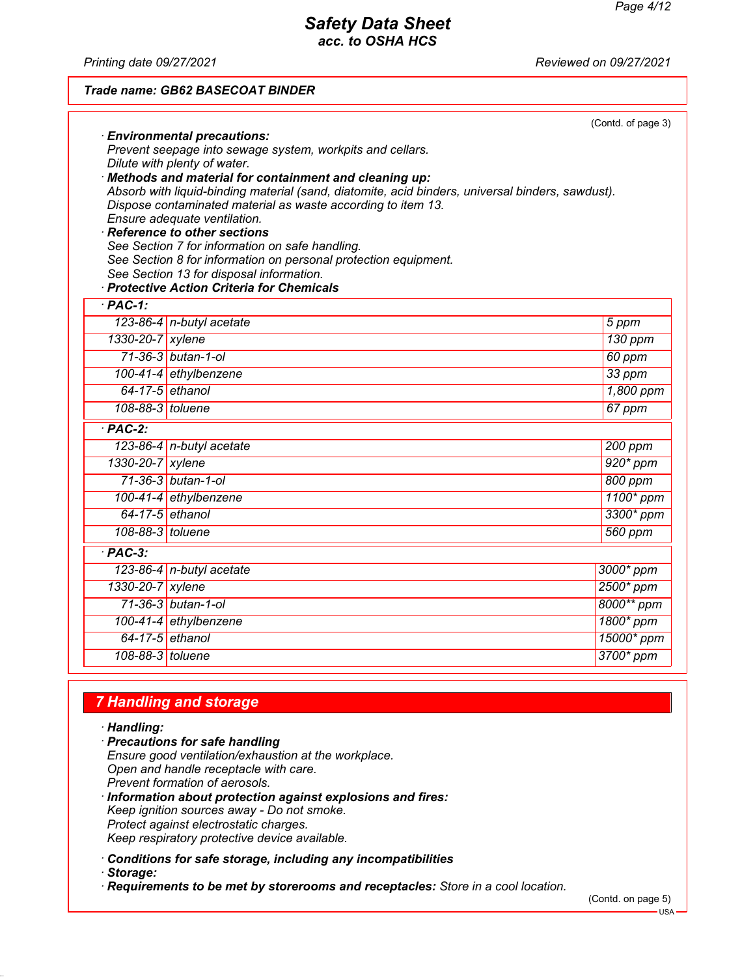*Printing date 09/27/2021 Reviewed on 09/27/2021*

#### *Trade name: GB62 BASECOAT BINDER*

|                    | <b>Environmental precautions:</b><br>Prevent seepage into sewage system, workpits and cellars.<br>Dilute with plenty of water.<br>Methods and material for containment and cleaning up:<br>Absorb with liquid-binding material (sand, diatomite, acid binders, universal binders, sawdust).<br>Dispose contaminated material as waste according to item 13.<br>Ensure adequate ventilation.<br>$\cdot$ Reference to other sections<br>See Section 7 for information on safe handling.<br>See Section 8 for information on personal protection equipment.<br>See Section 13 for disposal information.<br>· Protective Action Criteria for Chemicals | (Contd. of page 3) |
|--------------------|----------------------------------------------------------------------------------------------------------------------------------------------------------------------------------------------------------------------------------------------------------------------------------------------------------------------------------------------------------------------------------------------------------------------------------------------------------------------------------------------------------------------------------------------------------------------------------------------------------------------------------------------------|--------------------|
| $·$ PAC-1:         |                                                                                                                                                                                                                                                                                                                                                                                                                                                                                                                                                                                                                                                    |                    |
|                    | 123-86-4 n-butyl acetate                                                                                                                                                                                                                                                                                                                                                                                                                                                                                                                                                                                                                           | 5 ppm              |
| 1330-20-7 xylene   |                                                                                                                                                                                                                                                                                                                                                                                                                                                                                                                                                                                                                                                    | $130$ ppm          |
|                    | 71-36-3 butan-1-ol                                                                                                                                                                                                                                                                                                                                                                                                                                                                                                                                                                                                                                 | 60 ppm             |
|                    | 100-41-4 ethylbenzene                                                                                                                                                                                                                                                                                                                                                                                                                                                                                                                                                                                                                              | 33 ppm             |
|                    | 64-17-5 ethanol                                                                                                                                                                                                                                                                                                                                                                                                                                                                                                                                                                                                                                    | 1,800 ppm          |
| 108-88-3 toluene   |                                                                                                                                                                                                                                                                                                                                                                                                                                                                                                                                                                                                                                                    | 67 ppm             |
| $PAC-2$ :          |                                                                                                                                                                                                                                                                                                                                                                                                                                                                                                                                                                                                                                                    |                    |
|                    | 123-86-4 n-butyl acetate                                                                                                                                                                                                                                                                                                                                                                                                                                                                                                                                                                                                                           | 200 ppm            |
| 1330-20-7 xylene   |                                                                                                                                                                                                                                                                                                                                                                                                                                                                                                                                                                                                                                                    | $920*$ ppm         |
|                    | 71-36-3 butan-1-ol                                                                                                                                                                                                                                                                                                                                                                                                                                                                                                                                                                                                                                 | 800 ppm            |
|                    | 100-41-4 ethylbenzene                                                                                                                                                                                                                                                                                                                                                                                                                                                                                                                                                                                                                              | 1100* ppm          |
|                    | $64-17-5$ ethanol                                                                                                                                                                                                                                                                                                                                                                                                                                                                                                                                                                                                                                  | 3300* ppm          |
| 108-88-3 toluene   |                                                                                                                                                                                                                                                                                                                                                                                                                                                                                                                                                                                                                                                    | 560 ppm            |
| $\overline{PAC-3}$ |                                                                                                                                                                                                                                                                                                                                                                                                                                                                                                                                                                                                                                                    |                    |
|                    | 123-86-4 n-butyl acetate                                                                                                                                                                                                                                                                                                                                                                                                                                                                                                                                                                                                                           | 3000* ppm          |
| 1330-20-7 xylene   |                                                                                                                                                                                                                                                                                                                                                                                                                                                                                                                                                                                                                                                    | 2500* ppm          |
|                    | 71-36-3 butan-1-ol                                                                                                                                                                                                                                                                                                                                                                                                                                                                                                                                                                                                                                 | 8000** ppm         |
|                    | 100-41-4 ethylbenzene                                                                                                                                                                                                                                                                                                                                                                                                                                                                                                                                                                                                                              | 1800* ppm          |
|                    | 64-17-5 ethanol                                                                                                                                                                                                                                                                                                                                                                                                                                                                                                                                                                                                                                    | 15000* ppm         |
| 108-88-3 toluene   |                                                                                                                                                                                                                                                                                                                                                                                                                                                                                                                                                                                                                                                    | 3700* ppm          |
|                    |                                                                                                                                                                                                                                                                                                                                                                                                                                                                                                                                                                                                                                                    |                    |

## *7 Handling and storage*

*· Handling:*

- *· Precautions for safe handling Ensure good ventilation/exhaustion at the workplace. Open and handle receptacle with care. Prevent formation of aerosols.*
- *· Information about protection against explosions and fires: Keep ignition sources away - Do not smoke. Protect against electrostatic charges. Keep respiratory protective device available.*

*· Conditions for safe storage, including any incompatibilities*

*· Storage:*

*· Requirements to be met by storerooms and receptacles: Store in a cool location.*

(Contd. on page 5)

USA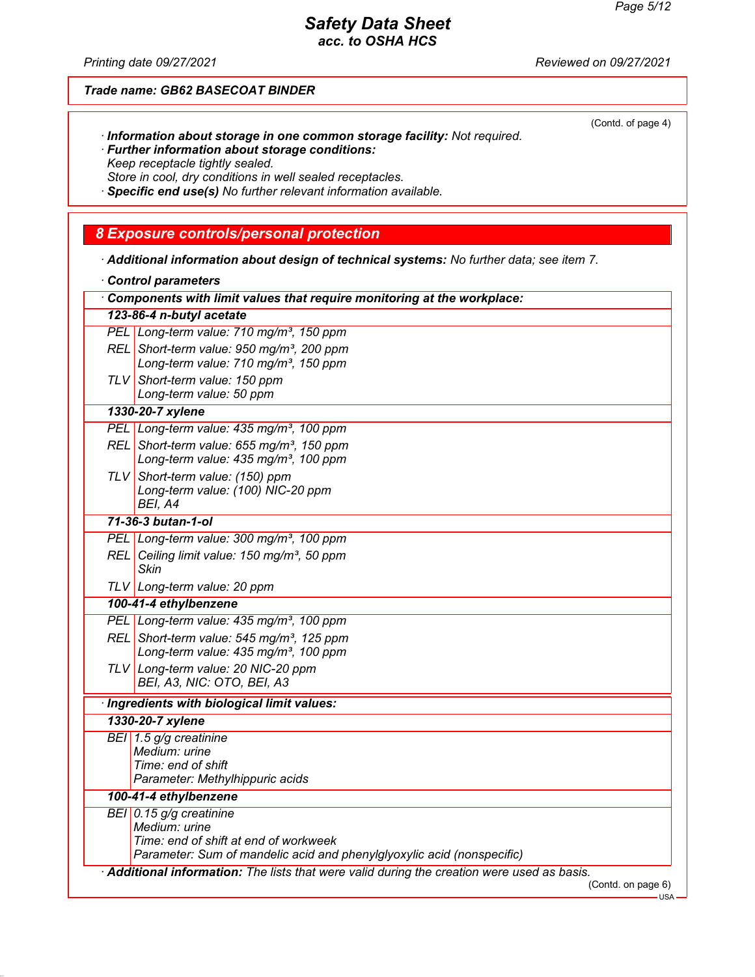(Contd. of page 4)

# *Safety Data Sheet*

*acc. to OSHA HCS*

*Printing date 09/27/2021 Reviewed on 09/27/2021*

*Trade name: GB62 BASECOAT BINDER*

- *· Information about storage in one common storage facility: Not required.*
- *· Further information about storage conditions: Keep receptacle tightly sealed. Store in cool, dry conditions in well sealed receptacles.*
- 
- *· Specific end use(s) No further relevant information available.*

## *8 Exposure controls/personal protection*

*· Additional information about design of technical systems: No further data; see item 7.*

| Control parameters |
|--------------------|
|--------------------|

| Components with limit values that require monitoring at the workplace: |                                                                                           |  |
|------------------------------------------------------------------------|-------------------------------------------------------------------------------------------|--|
|                                                                        | 123-86-4 n-butyl acetate                                                                  |  |
|                                                                        | PEL Long-term value: 710 mg/m <sup>3</sup> , 150 ppm                                      |  |
|                                                                        | REL Short-term value: 950 mg/m <sup>3</sup> , 200 ppm                                     |  |
|                                                                        | Long-term value: 710 mg/m <sup>3</sup> , 150 ppm                                          |  |
|                                                                        | TLV Short-term value: 150 ppm                                                             |  |
|                                                                        | Long-term value: 50 ppm                                                                   |  |
|                                                                        | 1330-20-7 xylene                                                                          |  |
|                                                                        | PEL Long-term value: 435 mg/m <sup>3</sup> , 100 ppm                                      |  |
|                                                                        | REL Short-term value: 655 mg/m <sup>3</sup> , 150 ppm                                     |  |
|                                                                        | Long-term value: 435 mg/m <sup>3</sup> , 100 ppm                                          |  |
|                                                                        | TLV Short-term value: (150) ppm                                                           |  |
|                                                                        | Long-term value: (100) NIC-20 ppm                                                         |  |
|                                                                        | BEI, A4                                                                                   |  |
|                                                                        | 71-36-3 butan-1-ol                                                                        |  |
|                                                                        | PEL Long-term value: 300 mg/m <sup>3</sup> , 100 ppm                                      |  |
|                                                                        | REL Ceiling limit value: 150 mg/m <sup>3</sup> , 50 ppm<br><b>Skin</b>                    |  |
|                                                                        | TLV Long-term value: 20 ppm                                                               |  |
|                                                                        | 100-41-4 ethylbenzene                                                                     |  |
|                                                                        | PEL Long-term value: 435 mg/m <sup>3</sup> , 100 ppm                                      |  |
|                                                                        | REL Short-term value: 545 mg/m <sup>3</sup> , 125 ppm                                     |  |
|                                                                        | Long-term value: 435 mg/m <sup>3</sup> , 100 ppm                                          |  |
|                                                                        | TLV Long-term value: 20 NIC-20 ppm                                                        |  |
|                                                                        | BEI, A3, NIC: OTO, BEI, A3                                                                |  |
|                                                                        | · Ingredients with biological limit values:                                               |  |
|                                                                        | 1330-20-7 xylene                                                                          |  |
|                                                                        | BEI 1.5 g/g creatinine                                                                    |  |
|                                                                        | Medium: urine                                                                             |  |
|                                                                        | Time: end of shift                                                                        |  |
|                                                                        | Parameter: Methylhippuric acids                                                           |  |
|                                                                        | 100-41-4 ethylbenzene                                                                     |  |
|                                                                        | BEI 0.15 g/g creatinine                                                                   |  |
|                                                                        | Medium: urine<br>Time: end of shift at end of workweek                                    |  |
|                                                                        | Parameter: Sum of mandelic acid and phenylglyoxylic acid (nonspecific)                    |  |
|                                                                        | Additional information: The lists that were valid during the creation were used as basis. |  |
|                                                                        | (Contd. on page 6)                                                                        |  |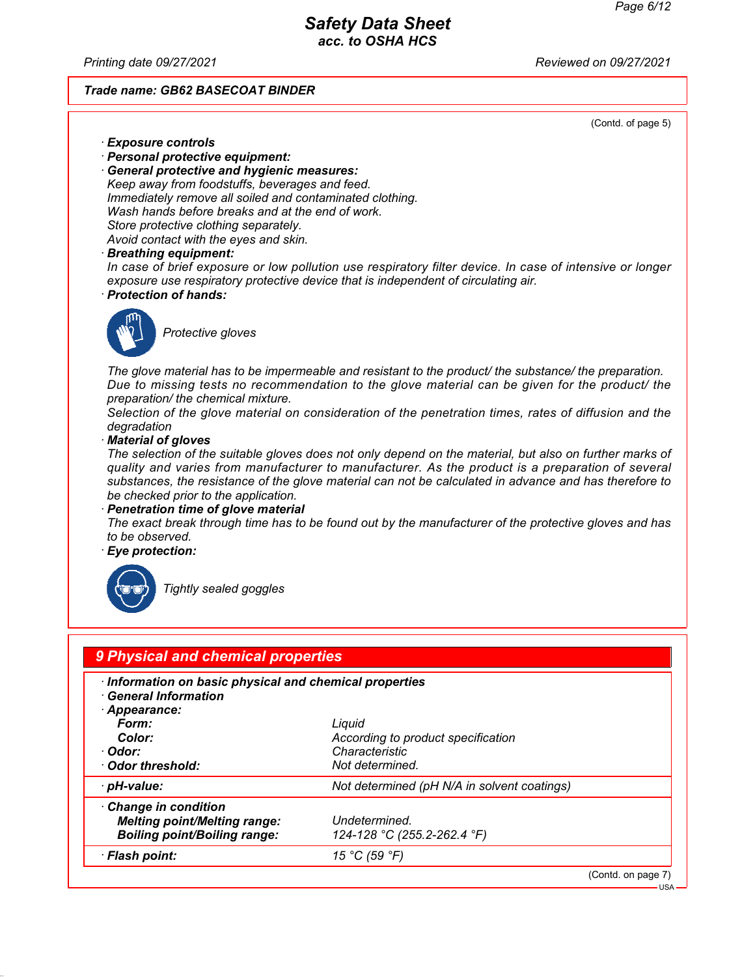*Printing date 09/27/2021 Reviewed on 09/27/2021*

#### *Trade name: GB62 BASECOAT BINDER*

(Contd. of page 5)

- *· Exposure controls*
- *· Personal protective equipment:*
- *· General protective and hygienic measures: Keep away from foodstuffs, beverages and feed. Immediately remove all soiled and contaminated clothing. Wash hands before breaks and at the end of work. Store protective clothing separately. Avoid contact with the eyes and skin.*
- *· Breathing equipment:*

*In case of brief exposure or low pollution use respiratory filter device. In case of intensive or longer exposure use respiratory protective device that is independent of circulating air.*

*· Protection of hands:*



*Protective gloves*

*The glove material has to be impermeable and resistant to the product/ the substance/ the preparation. Due to missing tests no recommendation to the glove material can be given for the product/ the preparation/ the chemical mixture.*

*Selection of the glove material on consideration of the penetration times, rates of diffusion and the degradation*

*· Material of gloves*

*The selection of the suitable gloves does not only depend on the material, but also on further marks of quality and varies from manufacturer to manufacturer. As the product is a preparation of several substances, the resistance of the glove material can not be calculated in advance and has therefore to be checked prior to the application.*

*· Penetration time of glove material*

*The exact break through time has to be found out by the manufacturer of the protective gloves and has to be observed.*

*· Eye protection:*



*Tightly sealed goggles*

| 9 Physical and chemical properties                                                                                                                    |                                                                                   |                                               |
|-------------------------------------------------------------------------------------------------------------------------------------------------------|-----------------------------------------------------------------------------------|-----------------------------------------------|
| · Information on basic physical and chemical properties<br><b>General Information</b><br>Appearance:<br>Form:<br>Color:<br>∙ Odor:<br>Odor threshold: | Liquid<br>According to product specification<br>Characteristic<br>Not determined. |                                               |
| · pH-value:                                                                                                                                           | Not determined (pH N/A in solvent coatings)                                       |                                               |
| Change in condition<br><b>Melting point/Melting range:</b><br><b>Boiling point/Boiling range:</b>                                                     | Undetermined.<br>124-128 °C (255.2-262.4 °F)                                      |                                               |
| · Flash point:                                                                                                                                        | 15 °C (59 °F)                                                                     |                                               |
|                                                                                                                                                       |                                                                                   | (Contd. on page 7)<br>$ \frac{1}{\mathsf{S}}$ |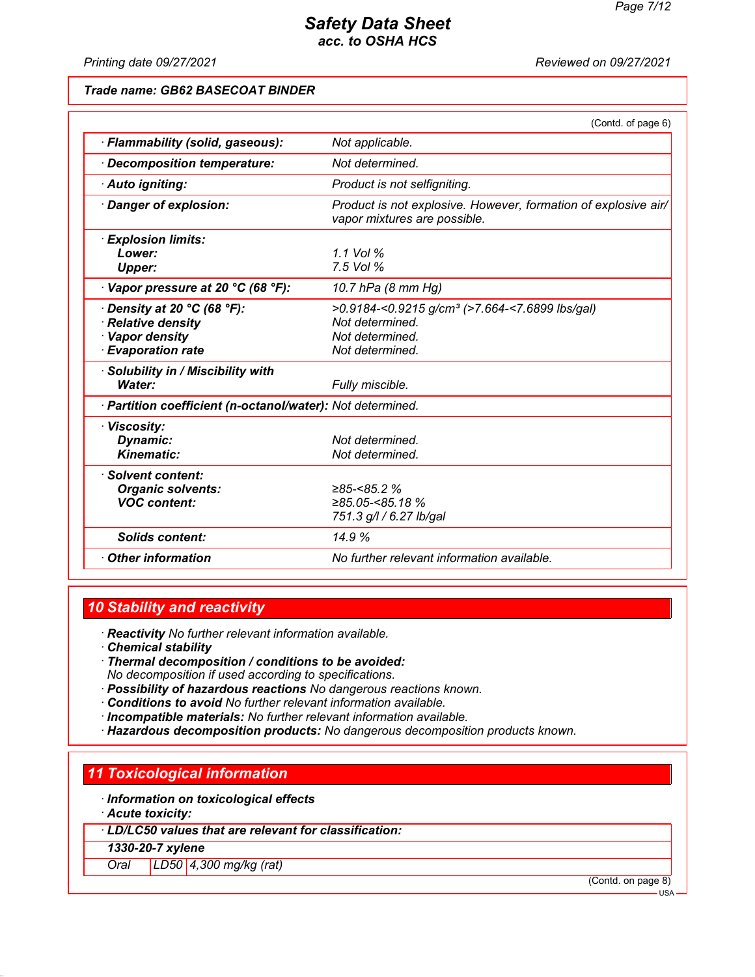*Printing date 09/27/2021 Reviewed on 09/27/2021*

#### *Trade name: GB62 BASECOAT BINDER*

|                                                                                                       | (Contd. of page 6)                                                                                                  |
|-------------------------------------------------------------------------------------------------------|---------------------------------------------------------------------------------------------------------------------|
| · Flammability (solid, gaseous):                                                                      | Not applicable.                                                                                                     |
| Decomposition temperature:                                                                            | Not determined.                                                                                                     |
| · Auto igniting:                                                                                      | Product is not selfigniting.                                                                                        |
| Danger of explosion:                                                                                  | Product is not explosive. However, formation of explosive air/<br>vapor mixtures are possible.                      |
| · Explosion limits:<br>Lower:<br><b>Upper:</b>                                                        | 1.1 Vol %<br>7.5 Vol %                                                                                              |
| $\cdot$ Vapor pressure at 20 °C (68 °F):                                                              | 10.7 hPa (8 mm Hg)                                                                                                  |
| $\cdot$ Density at 20 °C (68 °F):<br>· Relative density<br>· Vapor density<br><b>Evaporation rate</b> | >0.9184-<0.9215 g/cm <sup>3</sup> (>7.664-<7.6899 lbs/gal)<br>Not determined.<br>Not determined.<br>Not determined. |
| · Solubility in / Miscibility with<br>Water:                                                          | Fully miscible.                                                                                                     |
| · Partition coefficient (n-octanol/water): Not determined.                                            |                                                                                                                     |
| · Viscosity:<br>Dynamic:<br><b>Kinematic:</b>                                                         | Not determined.<br>Not determined.                                                                                  |
| · Solvent content:<br><b>Organic solvents:</b><br><b>VOC content:</b>                                 | $≥85 - < 85.2%$<br>$≥85.05$ -<85.18 %<br>751.3 g/l / 6.27 lb/gal                                                    |
| <b>Solids content:</b>                                                                                | 14.9%                                                                                                               |
| <b>Other information</b>                                                                              | No further relevant information available.                                                                          |

## *10 Stability and reactivity*

*· Reactivity No further relevant information available.*

- *· Chemical stability*
- *· Thermal decomposition / conditions to be avoided: No decomposition if used according to specifications.*
- *· Possibility of hazardous reactions No dangerous reactions known.*
- *· Conditions to avoid No further relevant information available.*
- *· Incompatible materials: No further relevant information available.*
- *· Hazardous decomposition products: No dangerous decomposition products known.*

#### *11 Toxicological information*

- *· Information on toxicological effects*
- *· Acute toxicity:*
- *· LD/LC50 values that are relevant for classification:*

*1330-20-7 xylene*

*Oral LD50 4,300 mg/kg (rat)*

(Contd. on page 8)

USA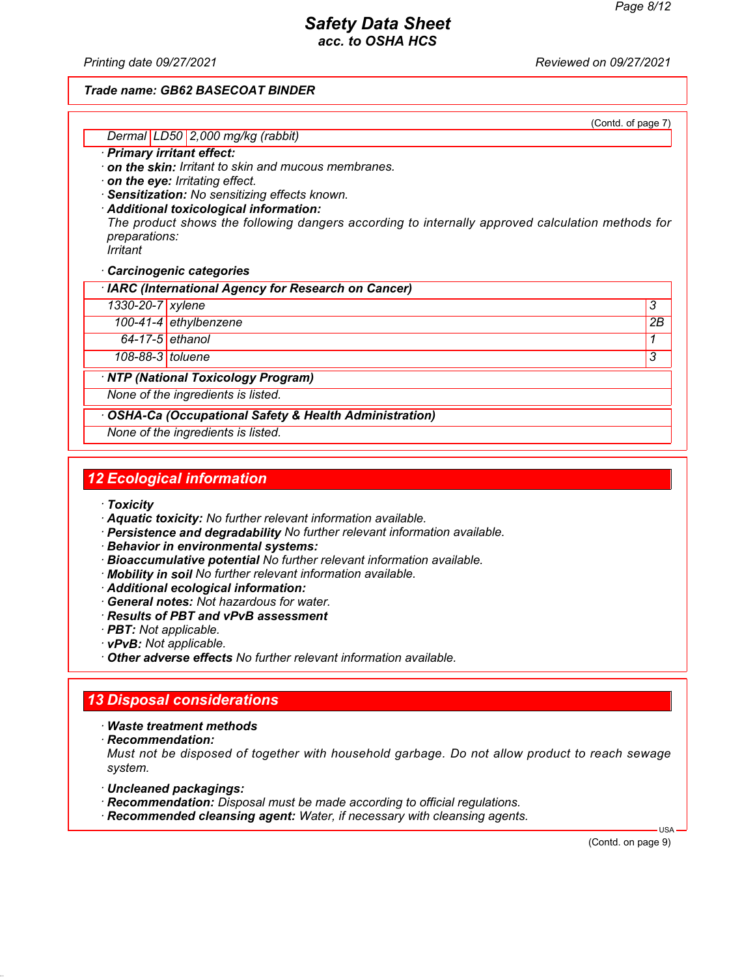*Printing date 09/27/2021 Reviewed on 09/27/2021*

#### *Trade name: GB62 BASECOAT BINDER*

(Contd. of page 7)

#### *Dermal LD50 2,000 mg/kg (rabbit) · Primary irritant effect:*

*· on the skin: Irritant to skin and mucous membranes.*

*· on the eye: Irritating effect.*

*· Sensitization: No sensitizing effects known.*

*· Additional toxicological information: The product shows the following dangers according to internally approved calculation methods for preparations: Irritant*

*· Carcinogenic categories*

*· IARC (International Agency for Research on Cancer)*

*1330-20-7 xylene 3* 

*100-41-4 ethylbenzene 2B*

*64-17-5 ethanol 1* 

*108-88-3 toluene 3* 

*· NTP (National Toxicology Program)*

*None of the ingredients is listed.*

*· OSHA-Ca (Occupational Safety & Health Administration)*

*None of the ingredients is listed.*

# *12 Ecological information*

- *· Toxicity*
- *· Aquatic toxicity: No further relevant information available.*
- *· Persistence and degradability No further relevant information available.*
- *· Behavior in environmental systems:*
- *· Bioaccumulative potential No further relevant information available.*
- *· Mobility in soil No further relevant information available.*
- *· Additional ecological information:*
- *· General notes: Not hazardous for water.*
- *· Results of PBT and vPvB assessment*
- *· PBT: Not applicable.*
- *· vPvB: Not applicable.*
- *· Other adverse effects No further relevant information available.*

## *13 Disposal considerations*

*· Waste treatment methods*

*· Recommendation:*

*Must not be disposed of together with household garbage. Do not allow product to reach sewage system.*

- *· Uncleaned packagings:*
- *· Recommendation: Disposal must be made according to official regulations.*
- *· Recommended cleansing agent: Water, if necessary with cleansing agents.*

(Contd. on page 9)

USA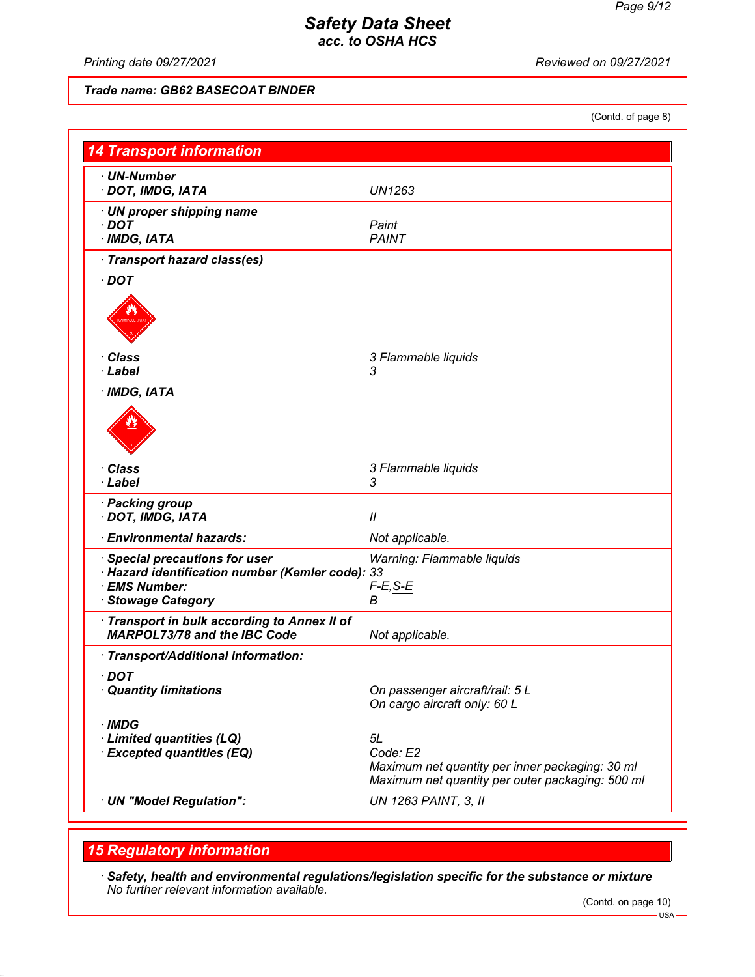*Printing date 09/27/2021 Reviewed on 09/27/2021*

## *Trade name: GB62 BASECOAT BINDER*

(Contd. of page 8)

| <b>14 Transport information</b>                                                                                           |                                                                                                                       |
|---------------------------------------------------------------------------------------------------------------------------|-----------------------------------------------------------------------------------------------------------------------|
| $\cdot$ UN-Number<br>· DOT, IMDG, IATA                                                                                    | <b>UN1263</b>                                                                                                         |
| · UN proper shipping name<br>$\cdot$ DOT<br>$\cdot$ IMDG, IATA                                                            | Paint<br><b>PAINT</b>                                                                                                 |
| · Transport hazard class(es)<br>$\cdot$ DOT                                                                               |                                                                                                                       |
|                                                                                                                           |                                                                                                                       |
| · Class                                                                                                                   | 3 Flammable liquids                                                                                                   |
| · Label                                                                                                                   | 3                                                                                                                     |
| $\cdot$ IMDG, IATA                                                                                                        |                                                                                                                       |
| · Class<br>· Label                                                                                                        | 3 Flammable liquids<br>3                                                                                              |
| · Packing group<br>· DOT, IMDG, IATA                                                                                      | $^{\prime\prime}$                                                                                                     |
| · Environmental hazards:                                                                                                  | Not applicable.                                                                                                       |
| · Special precautions for user<br>· Hazard identification number (Kemler code): 33<br>· EMS Number:<br>· Stowage Category | Warning: Flammable liquids<br>$F-E, S-E$<br>в                                                                         |
| · Transport in bulk according to Annex II of<br><b>MARPOL73/78 and the IBC Code</b>                                       | Not applicable.                                                                                                       |
| · Transport/Additional information:                                                                                       |                                                                                                                       |
| $\cdot$ DOT<br><b>Quantity limitations</b>                                                                                | On passenger aircraft/rail: 5 L<br>On cargo aircraft only: 60 L                                                       |
| · IMDG<br>· Limited quantities (LQ)<br><b>Excepted quantities (EQ)</b>                                                    | 5L<br>Code: E2<br>Maximum net quantity per inner packaging: 30 ml<br>Maximum net quantity per outer packaging: 500 ml |
| · UN "Model Regulation":                                                                                                  | <b>UN 1263 PAINT, 3, II</b>                                                                                           |

## *15 Regulatory information*

*· Safety, health and environmental regulations/legislation specific for the substance or mixture No further relevant information available.*

<sup>(</sup>Contd. on page 10)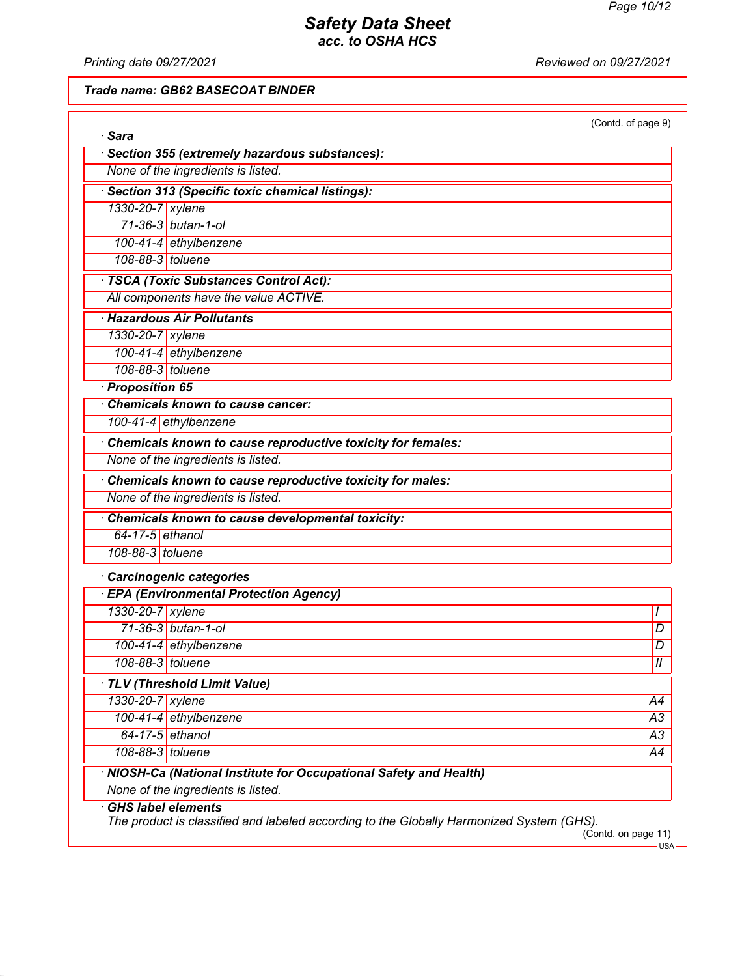*Printing date 09/27/2021 Reviewed on 09/27/2021*

*Trade name: GB62 BASECOAT BINDER*

| · Sara           |                                                                    | (Contd. of page 9) |
|------------------|--------------------------------------------------------------------|--------------------|
|                  | · Section 355 (extremely hazardous substances):                    |                    |
|                  | None of the ingredients is listed.                                 |                    |
|                  |                                                                    |                    |
|                  | · Section 313 (Specific toxic chemical listings):                  |                    |
| 1330-20-7 xylene |                                                                    |                    |
|                  | 71-36-3 butan-1-ol                                                 |                    |
| 108-88-3 toluene | 100-41-4 ethylbenzene                                              |                    |
|                  |                                                                    |                    |
|                  | · TSCA (Toxic Substances Control Act):                             |                    |
|                  | All components have the value ACTIVE.                              |                    |
|                  | · Hazardous Air Pollutants                                         |                    |
| 1330-20-7 xylene |                                                                    |                    |
|                  | 100-41-4 ethylbenzene                                              |                    |
| 108-88-3 toluene |                                                                    |                    |
| · Proposition 65 |                                                                    |                    |
|                  | Chemicals known to cause cancer:                                   |                    |
|                  | 100-41-4 ethylbenzene                                              |                    |
|                  | Chemicals known to cause reproductive toxicity for females:        |                    |
|                  | None of the ingredients is listed.                                 |                    |
|                  | Chemicals known to cause reproductive toxicity for males:          |                    |
|                  | None of the ingredients is listed.                                 |                    |
|                  | Chemicals known to cause developmental toxicity:                   |                    |
| 64-17-5 ethanol  |                                                                    |                    |
| 108-88-3 toluene |                                                                    |                    |
|                  | · Carcinogenic categories                                          |                    |
|                  | <b>EPA (Environmental Protection Agency)</b>                       |                    |
| 1330-20-7 xylene |                                                                    |                    |
|                  | 71-36-3 butan-1-ol                                                 | D                  |
|                  | 100-41-4 ethylbenzene                                              | D                  |
| 108-88-3 toluene |                                                                    | $\overline{1}$     |
|                  | TLV (Threshold Limit Value)                                        |                    |
| 1330-20-7 xylene |                                                                    | A4                 |
|                  | 100-41-4 ethylbenzene                                              | $\overline{A3}$    |
| 64-17-5 ethanol  |                                                                    | $\overline{A3}$    |
| 108-88-3 toluene |                                                                    | A4                 |
|                  | · NIOSH-Ca (National Institute for Occupational Safety and Health) |                    |
|                  | None of the ingredients is listed.                                 |                    |
|                  | <b>GHS label elements</b>                                          |                    |

 $-$ USA $\cdot$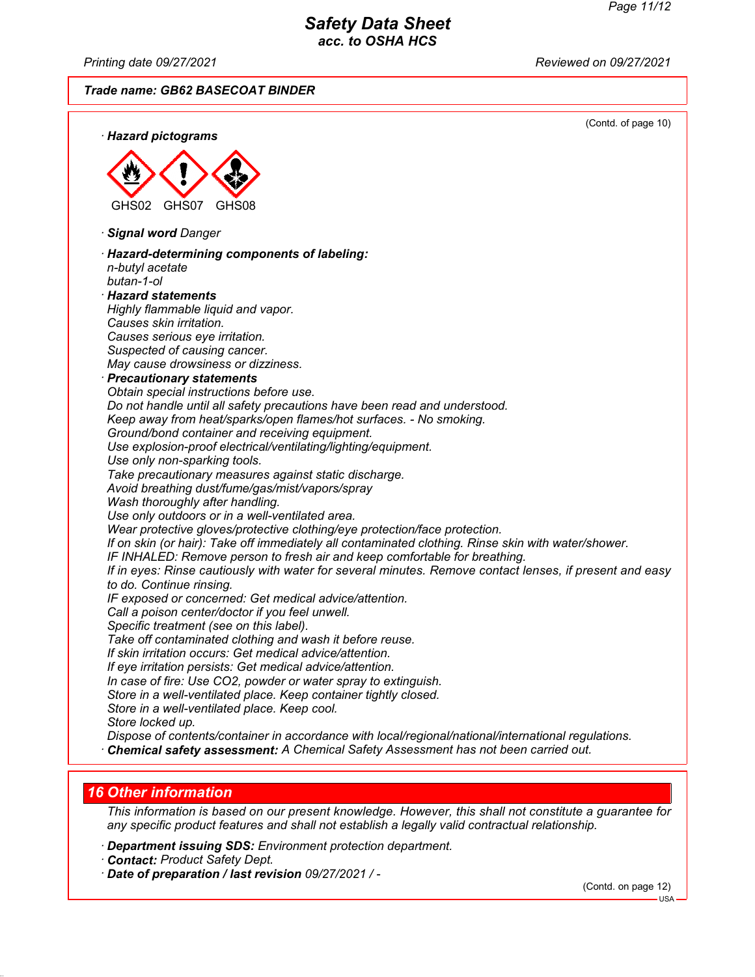*Printing date 09/27/2021 Reviewed on 09/27/2021*

*Trade name: GB62 BASECOAT BINDER*



#### *16 Other information*

*This information is based on our present knowledge. However, this shall not constitute a guarantee for any specific product features and shall not establish a legally valid contractual relationship.*

- *· Department issuing SDS: Environment protection department.*
- *· Contact: Product Safety Dept.*

*· Date of preparation / last revision 09/27/2021 / -*

(Contd. on page 12)

USA